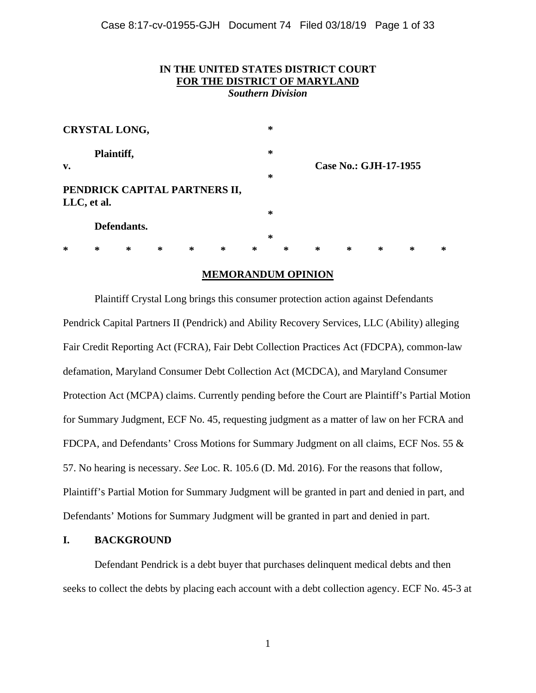# **IN THE UNITED STATES DISTRICT COURT FOR THE DISTRICT OF MARYLAND**

*Southern Division* 

| <b>CRYSTAL LONG,</b>                         |        |        |        |   |   |   | ∗      |   |                       |   |   |   |   |
|----------------------------------------------|--------|--------|--------|---|---|---|--------|---|-----------------------|---|---|---|---|
| Plaintiff,<br>v.                             |        |        |        |   |   |   | ∗      |   | Case No.: GJH-17-1955 |   |   |   |   |
|                                              |        |        |        |   |   |   | ∗      |   |                       |   |   |   |   |
| PENDRICK CAPITAL PARTNERS II,<br>LLC, et al. |        |        |        |   |   |   |        |   |                       |   |   |   |   |
|                                              |        |        |        |   |   |   | ∗      |   |                       |   |   |   |   |
| Defendants.                                  |        |        |        |   |   |   | $\ast$ |   |                       |   |   |   |   |
|                                              |        |        |        |   |   |   |        |   |                       |   |   |   |   |
| $\ast$                                       | $\ast$ | $\ast$ | $\ast$ | ∗ | ∗ | ∗ |        | ∗ | ∗                     | ∗ | ∗ | ∗ | ∗ |

### **MEMORANDUM OPINION**

Plaintiff Crystal Long brings this consumer protection action against Defendants Pendrick Capital Partners II (Pendrick) and Ability Recovery Services, LLC (Ability) alleging Fair Credit Reporting Act (FCRA), Fair Debt Collection Practices Act (FDCPA), common-law defamation, Maryland Consumer Debt Collection Act (MCDCA), and Maryland Consumer Protection Act (MCPA) claims. Currently pending before the Court are Plaintiff's Partial Motion for Summary Judgment, ECF No. 45, requesting judgment as a matter of law on her FCRA and FDCPA, and Defendants' Cross Motions for Summary Judgment on all claims, ECF Nos. 55 & 57. No hearing is necessary. *See* Loc. R. 105.6 (D. Md. 2016). For the reasons that follow, Plaintiff's Partial Motion for Summary Judgment will be granted in part and denied in part, and Defendants' Motions for Summary Judgment will be granted in part and denied in part.

### **I. BACKGROUND**

Defendant Pendrick is a debt buyer that purchases delinquent medical debts and then seeks to collect the debts by placing each account with a debt collection agency. ECF No. 45-3 at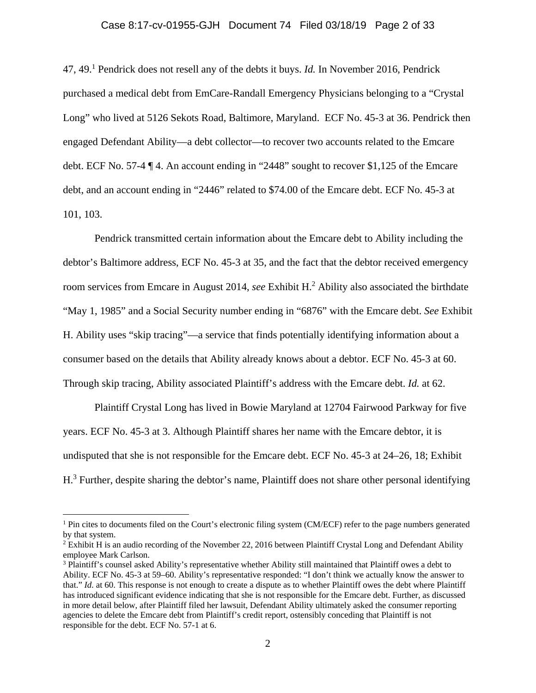#### Case 8:17-cv-01955-GJH Document 74 Filed 03/18/19 Page 2 of 33

47, 49.1 Pendrick does not resell any of the debts it buys. *Id.* In November 2016, Pendrick purchased a medical debt from EmCare-Randall Emergency Physicians belonging to a "Crystal Long" who lived at 5126 Sekots Road, Baltimore, Maryland. ECF No. 45-3 at 36. Pendrick then engaged Defendant Ability—a debt collector—to recover two accounts related to the Emcare debt. ECF No. 57-4 ¶ 4. An account ending in "2448" sought to recover \$1,125 of the Emcare debt, and an account ending in "2446" related to \$74.00 of the Emcare debt. ECF No. 45-3 at 101, 103.

Pendrick transmitted certain information about the Emcare debt to Ability including the debtor's Baltimore address, ECF No. 45-3 at 35, and the fact that the debtor received emergency room services from Emcare in August 2014, *see* Exhibit H.<sup>2</sup> Ability also associated the birthdate "May 1, 1985" and a Social Security number ending in "6876" with the Emcare debt. *See* Exhibit H. Ability uses "skip tracing"—a service that finds potentially identifying information about a consumer based on the details that Ability already knows about a debtor. ECF No. 45-3 at 60. Through skip tracing, Ability associated Plaintiff's address with the Emcare debt. *Id.* at 62.

Plaintiff Crystal Long has lived in Bowie Maryland at 12704 Fairwood Parkway for five years. ECF No. 45-3 at 3. Although Plaintiff shares her name with the Emcare debtor, it is undisputed that she is not responsible for the Emcare debt. ECF No. 45-3 at 24–26, 18; Exhibit H.<sup>3</sup> Further, despite sharing the debtor's name, Plaintiff does not share other personal identifying

<u>.</u>

<sup>&</sup>lt;sup>1</sup> Pin cites to documents filed on the Court's electronic filing system (CM/ECF) refer to the page numbers generated by that system.

 $2$  Exhibit H is an audio recording of the November 22, 2016 between Plaintiff Crystal Long and Defendant Ability employee Mark Carlson.

<sup>&</sup>lt;sup>3</sup> Plaintiff's counsel asked Ability's representative whether Ability still maintained that Plaintiff owes a debt to Ability. ECF No. 45-3 at 59–60. Ability's representative responded: "I don't think we actually know the answer to that." *Id.* at 60. This response is not enough to create a dispute as to whether Plaintiff owes the debt where Plaintiff has introduced significant evidence indicating that she is not responsible for the Emcare debt. Further, as discussed in more detail below, after Plaintiff filed her lawsuit, Defendant Ability ultimately asked the consumer reporting agencies to delete the Emcare debt from Plaintiff's credit report, ostensibly conceding that Plaintiff is not responsible for the debt. ECF No. 57-1 at 6.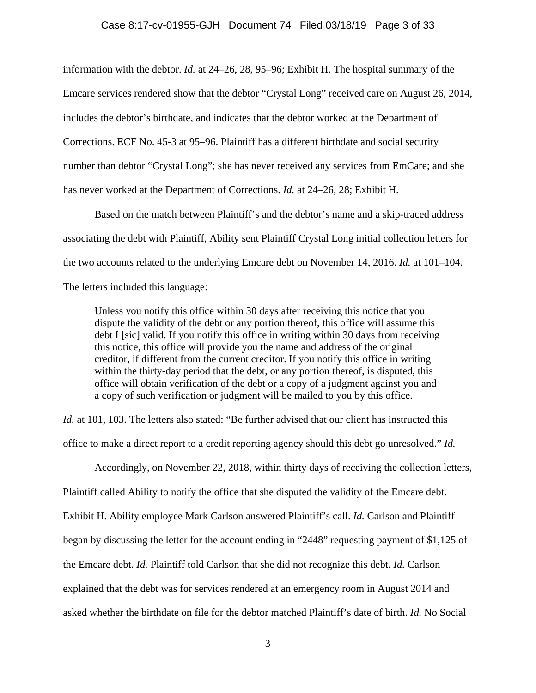#### Case 8:17-cv-01955-GJH Document 74 Filed 03/18/19 Page 3 of 33

information with the debtor. *Id.* at 24–26, 28, 95–96; Exhibit H. The hospital summary of the Emcare services rendered show that the debtor "Crystal Long" received care on August 26, 2014, includes the debtor's birthdate, and indicates that the debtor worked at the Department of Corrections. ECF No. 45-3 at 95–96. Plaintiff has a different birthdate and social security number than debtor "Crystal Long"; she has never received any services from EmCare; and she has never worked at the Department of Corrections. *Id.* at 24–26, 28; Exhibit H.

Based on the match between Plaintiff's and the debtor's name and a skip-traced address associating the debt with Plaintiff, Ability sent Plaintiff Crystal Long initial collection letters for the two accounts related to the underlying Emcare debt on November 14, 2016. *Id.* at 101–104. The letters included this language:

Unless you notify this office within 30 days after receiving this notice that you dispute the validity of the debt or any portion thereof, this office will assume this debt I [sic] valid. If you notify this office in writing within 30 days from receiving this notice, this office will provide you the name and address of the original creditor, if different from the current creditor. If you notify this office in writing within the thirty-day period that the debt, or any portion thereof, is disputed, this office will obtain verification of the debt or a copy of a judgment against you and a copy of such verification or judgment will be mailed to you by this office.

*Id.* at 101, 103. The letters also stated: "Be further advised that our client has instructed this office to make a direct report to a credit reporting agency should this debt go unresolved." *Id.* 

Accordingly, on November 22, 2018, within thirty days of receiving the collection letters, Plaintiff called Ability to notify the office that she disputed the validity of the Emcare debt. Exhibit H. Ability employee Mark Carlson answered Plaintiff's call. *Id.* Carlson and Plaintiff began by discussing the letter for the account ending in "2448" requesting payment of \$1,125 of the Emcare debt. *Id.* Plaintiff told Carlson that she did not recognize this debt. *Id.* Carlson explained that the debt was for services rendered at an emergency room in August 2014 and asked whether the birthdate on file for the debtor matched Plaintiff's date of birth. *Id.* No Social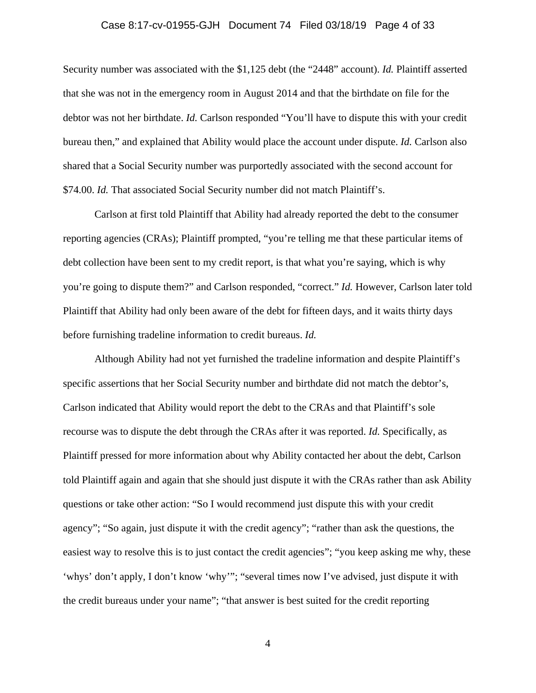#### Case 8:17-cv-01955-GJH Document 74 Filed 03/18/19 Page 4 of 33

Security number was associated with the \$1,125 debt (the "2448" account). *Id.* Plaintiff asserted that she was not in the emergency room in August 2014 and that the birthdate on file for the debtor was not her birthdate. *Id.* Carlson responded "You'll have to dispute this with your credit bureau then," and explained that Ability would place the account under dispute. *Id.* Carlson also shared that a Social Security number was purportedly associated with the second account for \$74.00. *Id.* That associated Social Security number did not match Plaintiff's.

Carlson at first told Plaintiff that Ability had already reported the debt to the consumer reporting agencies (CRAs); Plaintiff prompted, "you're telling me that these particular items of debt collection have been sent to my credit report, is that what you're saying, which is why you're going to dispute them?" and Carlson responded, "correct." *Id.* However, Carlson later told Plaintiff that Ability had only been aware of the debt for fifteen days, and it waits thirty days before furnishing tradeline information to credit bureaus. *Id.* 

Although Ability had not yet furnished the tradeline information and despite Plaintiff's specific assertions that her Social Security number and birthdate did not match the debtor's, Carlson indicated that Ability would report the debt to the CRAs and that Plaintiff's sole recourse was to dispute the debt through the CRAs after it was reported. *Id.* Specifically, as Plaintiff pressed for more information about why Ability contacted her about the debt, Carlson told Plaintiff again and again that she should just dispute it with the CRAs rather than ask Ability questions or take other action: "So I would recommend just dispute this with your credit agency"; "So again, just dispute it with the credit agency"; "rather than ask the questions, the easiest way to resolve this is to just contact the credit agencies"; "you keep asking me why, these 'whys' don't apply, I don't know 'why'"; "several times now I've advised, just dispute it with the credit bureaus under your name"; "that answer is best suited for the credit reporting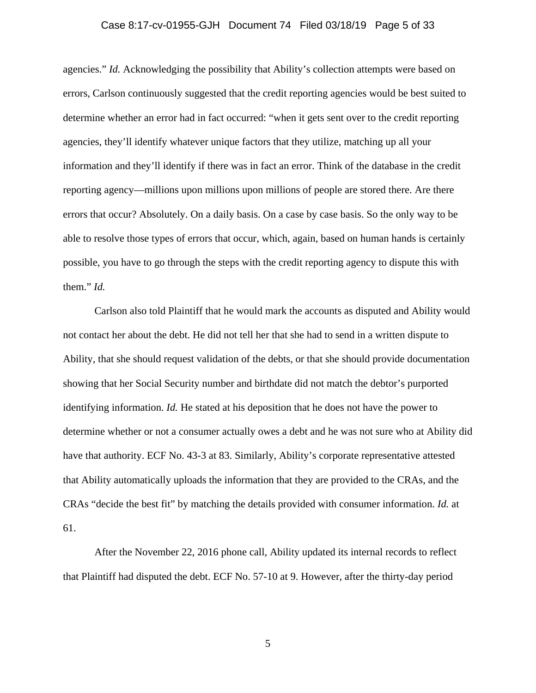#### Case 8:17-cv-01955-GJH Document 74 Filed 03/18/19 Page 5 of 33

agencies." *Id.* Acknowledging the possibility that Ability's collection attempts were based on errors, Carlson continuously suggested that the credit reporting agencies would be best suited to determine whether an error had in fact occurred: "when it gets sent over to the credit reporting agencies, they'll identify whatever unique factors that they utilize, matching up all your information and they'll identify if there was in fact an error. Think of the database in the credit reporting agency—millions upon millions upon millions of people are stored there. Are there errors that occur? Absolutely. On a daily basis. On a case by case basis. So the only way to be able to resolve those types of errors that occur, which, again, based on human hands is certainly possible, you have to go through the steps with the credit reporting agency to dispute this with them." *Id.* 

Carlson also told Plaintiff that he would mark the accounts as disputed and Ability would not contact her about the debt. He did not tell her that she had to send in a written dispute to Ability, that she should request validation of the debts, or that she should provide documentation showing that her Social Security number and birthdate did not match the debtor's purported identifying information. *Id.* He stated at his deposition that he does not have the power to determine whether or not a consumer actually owes a debt and he was not sure who at Ability did have that authority. ECF No. 43-3 at 83. Similarly, Ability's corporate representative attested that Ability automatically uploads the information that they are provided to the CRAs, and the CRAs "decide the best fit" by matching the details provided with consumer information. *Id.* at 61.

After the November 22, 2016 phone call, Ability updated its internal records to reflect that Plaintiff had disputed the debt. ECF No. 57-10 at 9. However, after the thirty-day period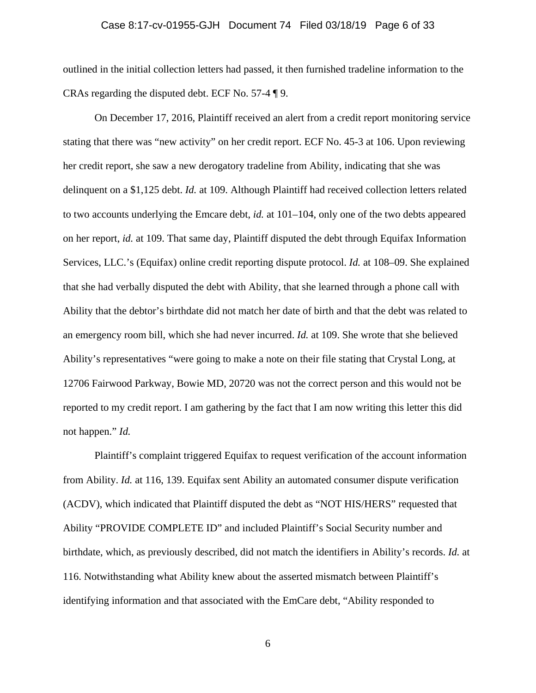#### Case 8:17-cv-01955-GJH Document 74 Filed 03/18/19 Page 6 of 33

outlined in the initial collection letters had passed, it then furnished tradeline information to the CRAs regarding the disputed debt. ECF No. 57-4 ¶ 9.

On December 17, 2016, Plaintiff received an alert from a credit report monitoring service stating that there was "new activity" on her credit report. ECF No. 45-3 at 106. Upon reviewing her credit report, she saw a new derogatory tradeline from Ability, indicating that she was delinquent on a \$1,125 debt. *Id.* at 109. Although Plaintiff had received collection letters related to two accounts underlying the Emcare debt, *id.* at 101–104, only one of the two debts appeared on her report, *id.* at 109. That same day, Plaintiff disputed the debt through Equifax Information Services, LLC.'s (Equifax) online credit reporting dispute protocol. *Id.* at 108–09. She explained that she had verbally disputed the debt with Ability, that she learned through a phone call with Ability that the debtor's birthdate did not match her date of birth and that the debt was related to an emergency room bill, which she had never incurred. *Id.* at 109. She wrote that she believed Ability's representatives "were going to make a note on their file stating that Crystal Long, at 12706 Fairwood Parkway, Bowie MD, 20720 was not the correct person and this would not be reported to my credit report. I am gathering by the fact that I am now writing this letter this did not happen." *Id.* 

Plaintiff's complaint triggered Equifax to request verification of the account information from Ability. *Id.* at 116, 139. Equifax sent Ability an automated consumer dispute verification (ACDV), which indicated that Plaintiff disputed the debt as "NOT HIS/HERS" requested that Ability "PROVIDE COMPLETE ID" and included Plaintiff's Social Security number and birthdate, which, as previously described, did not match the identifiers in Ability's records. *Id.* at 116. Notwithstanding what Ability knew about the asserted mismatch between Plaintiff's identifying information and that associated with the EmCare debt, "Ability responded to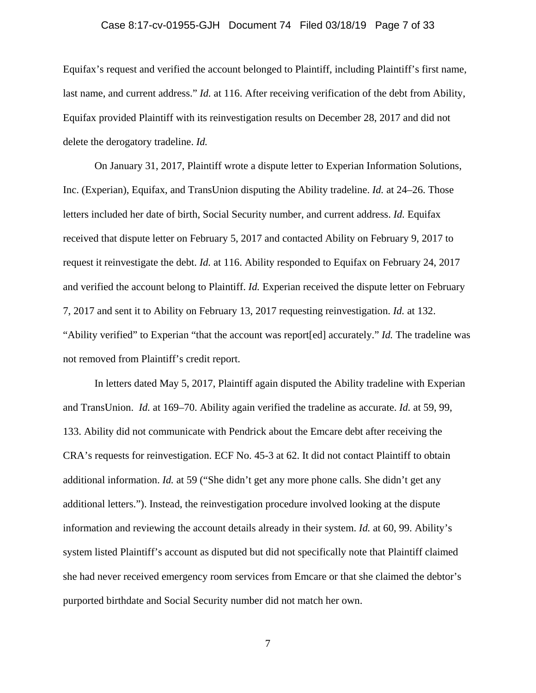#### Case 8:17-cv-01955-GJH Document 74 Filed 03/18/19 Page 7 of 33

Equifax's request and verified the account belonged to Plaintiff, including Plaintiff's first name, last name, and current address." *Id.* at 116. After receiving verification of the debt from Ability, Equifax provided Plaintiff with its reinvestigation results on December 28, 2017 and did not delete the derogatory tradeline. *Id.* 

On January 31, 2017, Plaintiff wrote a dispute letter to Experian Information Solutions, Inc. (Experian), Equifax, and TransUnion disputing the Ability tradeline. *Id.* at 24–26. Those letters included her date of birth, Social Security number, and current address. *Id.* Equifax received that dispute letter on February 5, 2017 and contacted Ability on February 9, 2017 to request it reinvestigate the debt. *Id.* at 116. Ability responded to Equifax on February 24, 2017 and verified the account belong to Plaintiff. *Id.* Experian received the dispute letter on February 7, 2017 and sent it to Ability on February 13, 2017 requesting reinvestigation. *Id.* at 132. "Ability verified" to Experian "that the account was report[ed] accurately." *Id.* The tradeline was not removed from Plaintiff's credit report.

In letters dated May 5, 2017, Plaintiff again disputed the Ability tradeline with Experian and TransUnion. *Id.* at 169–70. Ability again verified the tradeline as accurate. *Id.* at 59, 99, 133. Ability did not communicate with Pendrick about the Emcare debt after receiving the CRA's requests for reinvestigation. ECF No. 45-3 at 62. It did not contact Plaintiff to obtain additional information. *Id.* at 59 ("She didn't get any more phone calls. She didn't get any additional letters."). Instead, the reinvestigation procedure involved looking at the dispute information and reviewing the account details already in their system. *Id.* at 60, 99. Ability's system listed Plaintiff's account as disputed but did not specifically note that Plaintiff claimed she had never received emergency room services from Emcare or that she claimed the debtor's purported birthdate and Social Security number did not match her own.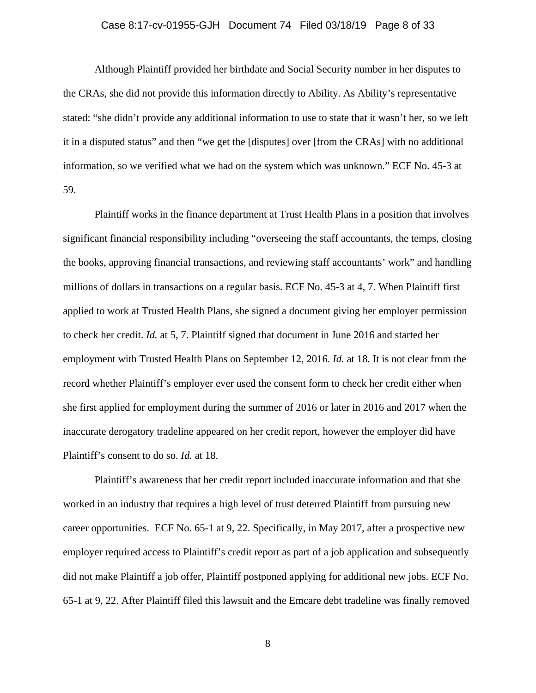#### Case 8:17-cv-01955-GJH Document 74 Filed 03/18/19 Page 8 of 33

Although Plaintiff provided her birthdate and Social Security number in her disputes to the CRAs, she did not provide this information directly to Ability. As Ability's representative stated: "she didn't provide any additional information to use to state that it wasn't her, so we left it in a disputed status" and then "we get the [disputes] over [from the CRAs] with no additional information, so we verified what we had on the system which was unknown." ECF No. 45-3 at 59.

Plaintiff works in the finance department at Trust Health Plans in a position that involves significant financial responsibility including "overseeing the staff accountants, the temps, closing the books, approving financial transactions, and reviewing staff accountants' work" and handling millions of dollars in transactions on a regular basis. ECF No. 45-3 at 4, 7. When Plaintiff first applied to work at Trusted Health Plans, she signed a document giving her employer permission to check her credit. *Id.* at 5, 7. Plaintiff signed that document in June 2016 and started her employment with Trusted Health Plans on September 12, 2016. *Id.* at 18. It is not clear from the record whether Plaintiff's employer ever used the consent form to check her credit either when she first applied for employment during the summer of 2016 or later in 2016 and 2017 when the inaccurate derogatory tradeline appeared on her credit report, however the employer did have Plaintiff's consent to do so. *Id.* at 18.

Plaintiff's awareness that her credit report included inaccurate information and that she worked in an industry that requires a high level of trust deterred Plaintiff from pursuing new career opportunities. ECF No. 65-1 at 9, 22. Specifically, in May 2017, after a prospective new employer required access to Plaintiff's credit report as part of a job application and subsequently did not make Plaintiff a job offer, Plaintiff postponed applying for additional new jobs. ECF No. 65-1 at 9, 22. After Plaintiff filed this lawsuit and the Emcare debt tradeline was finally removed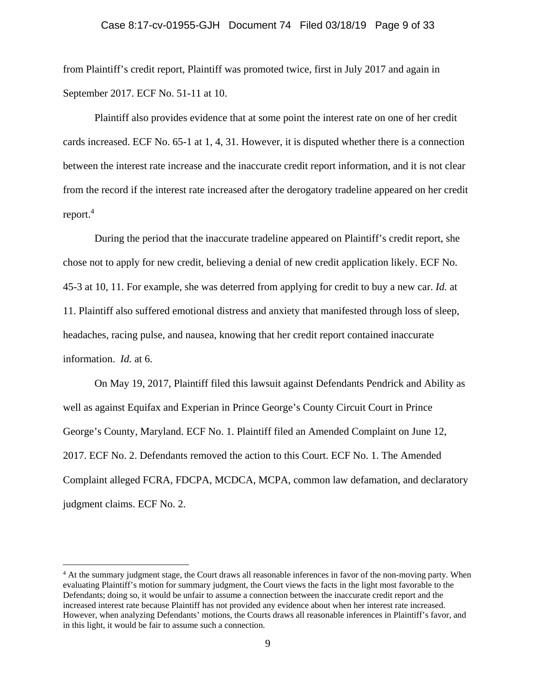#### Case 8:17-cv-01955-GJH Document 74 Filed 03/18/19 Page 9 of 33

from Plaintiff's credit report, Plaintiff was promoted twice, first in July 2017 and again in September 2017. ECF No. 51-11 at 10.

Plaintiff also provides evidence that at some point the interest rate on one of her credit cards increased. ECF No. 65-1 at 1, 4, 31. However, it is disputed whether there is a connection between the interest rate increase and the inaccurate credit report information, and it is not clear from the record if the interest rate increased after the derogatory tradeline appeared on her credit report.<sup>4</sup>

During the period that the inaccurate tradeline appeared on Plaintiff's credit report, she chose not to apply for new credit, believing a denial of new credit application likely. ECF No. 45-3 at 10, 11. For example, she was deterred from applying for credit to buy a new car. *Id.* at 11. Plaintiff also suffered emotional distress and anxiety that manifested through loss of sleep, headaches, racing pulse, and nausea, knowing that her credit report contained inaccurate information. *Id.* at 6.

On May 19, 2017, Plaintiff filed this lawsuit against Defendants Pendrick and Ability as well as against Equifax and Experian in Prince George's County Circuit Court in Prince George's County, Maryland. ECF No. 1. Plaintiff filed an Amended Complaint on June 12, 2017. ECF No. 2. Defendants removed the action to this Court. ECF No. 1. The Amended Complaint alleged FCRA, FDCPA, MCDCA, MCPA, common law defamation, and declaratory judgment claims. ECF No. 2.

<sup>&</sup>lt;sup>4</sup> At the summary judgment stage, the Court draws all reasonable inferences in favor of the non-moving party. When evaluating Plaintiff's motion for summary judgment, the Court views the facts in the light most favorable to the Defendants; doing so, it would be unfair to assume a connection between the inaccurate credit report and the increased interest rate because Plaintiff has not provided any evidence about when her interest rate increased. However, when analyzing Defendants' motions, the Courts draws all reasonable inferences in Plaintiff's favor, and in this light, it would be fair to assume such a connection.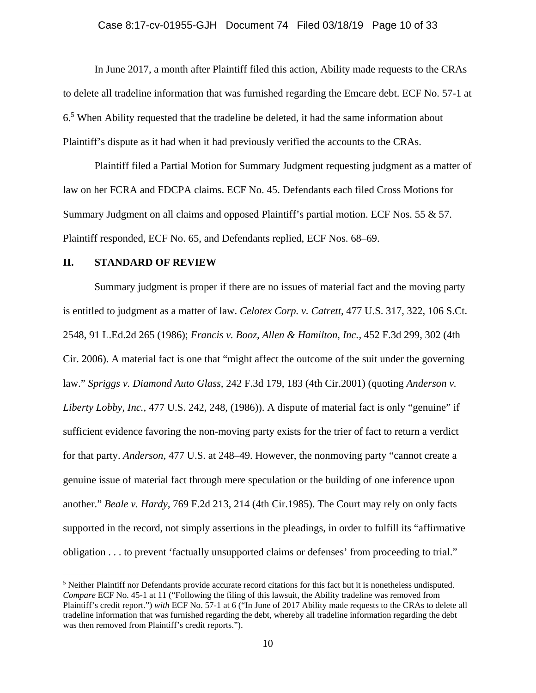In June 2017, a month after Plaintiff filed this action, Ability made requests to the CRAs to delete all tradeline information that was furnished regarding the Emcare debt. ECF No. 57-1 at 6.5 When Ability requested that the tradeline be deleted, it had the same information about Plaintiff's dispute as it had when it had previously verified the accounts to the CRAs.

Plaintiff filed a Partial Motion for Summary Judgment requesting judgment as a matter of law on her FCRA and FDCPA claims. ECF No. 45. Defendants each filed Cross Motions for Summary Judgment on all claims and opposed Plaintiff's partial motion. ECF Nos. 55 & 57. Plaintiff responded, ECF No. 65, and Defendants replied, ECF Nos. 68–69.

#### **II. STANDARD OF REVIEW**

<u>.</u>

Summary judgment is proper if there are no issues of material fact and the moving party is entitled to judgment as a matter of law. *Celotex Corp. v. Catrett,* 477 U.S. 317, 322, 106 S.Ct. 2548, 91 L.Ed.2d 265 (1986); *Francis v. Booz, Allen & Hamilton, Inc.,* 452 F.3d 299, 302 (4th Cir. 2006). A material fact is one that "might affect the outcome of the suit under the governing law." *Spriggs v. Diamond Auto Glass,* 242 F.3d 179, 183 (4th Cir.2001) (quoting *Anderson v. Liberty Lobby, Inc.,* 477 U.S. 242, 248, (1986)). A dispute of material fact is only "genuine" if sufficient evidence favoring the non-moving party exists for the trier of fact to return a verdict for that party. *Anderson,* 477 U.S. at 248–49. However, the nonmoving party "cannot create a genuine issue of material fact through mere speculation or the building of one inference upon another." *Beale v. Hardy,* 769 F.2d 213, 214 (4th Cir.1985). The Court may rely on only facts supported in the record, not simply assertions in the pleadings, in order to fulfill its "affirmative obligation . . . to prevent 'factually unsupported claims or defenses' from proceeding to trial."

 $<sup>5</sup>$  Neither Plaintiff nor Defendants provide accurate record citations for this fact but it is nonetheless undisputed.</sup> *Compare* ECF No. 45-1 at 11 ("Following the filing of this lawsuit, the Ability tradeline was removed from Plaintiff's credit report.") *with* ECF No. 57-1 at 6 ("In June of 2017 Ability made requests to the CRAs to delete all tradeline information that was furnished regarding the debt, whereby all tradeline information regarding the debt was then removed from Plaintiff's credit reports.").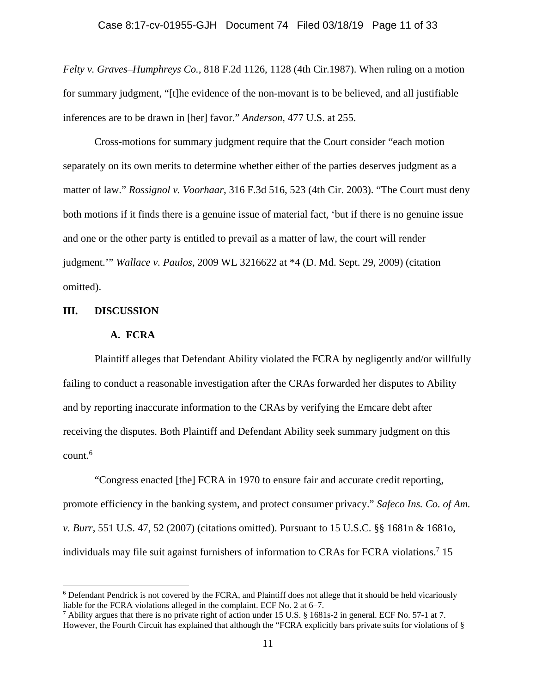*Felty v. Graves–Humphreys Co.,* 818 F.2d 1126, 1128 (4th Cir.1987). When ruling on a motion for summary judgment, "[t]he evidence of the non-movant is to be believed, and all justifiable inferences are to be drawn in [her] favor." *Anderson,* 477 U.S. at 255.

Cross-motions for summary judgment require that the Court consider "each motion separately on its own merits to determine whether either of the parties deserves judgment as a matter of law." *Rossignol v. Voorhaar*, 316 F.3d 516, 523 (4th Cir. 2003). "The Court must deny both motions if it finds there is a genuine issue of material fact, 'but if there is no genuine issue and one or the other party is entitled to prevail as a matter of law, the court will render judgment.'" *Wallace v. Paulos*, 2009 WL 3216622 at \*4 (D. Md. Sept. 29, 2009) (citation omitted).

#### **III. DISCUSSION**

1

#### **A. FCRA**

Plaintiff alleges that Defendant Ability violated the FCRA by negligently and/or willfully failing to conduct a reasonable investigation after the CRAs forwarded her disputes to Ability and by reporting inaccurate information to the CRAs by verifying the Emcare debt after receiving the disputes. Both Plaintiff and Defendant Ability seek summary judgment on this  $count.<sup>6</sup>$ 

"Congress enacted [the] FCRA in 1970 to ensure fair and accurate credit reporting, promote efficiency in the banking system, and protect consumer privacy." *Safeco Ins. Co. of Am. v. Burr*, 551 U.S. 47, 52 (2007) (citations omitted). Pursuant to 15 U.S.C. §§ 1681n & 1681o, individuals may file suit against furnishers of information to CRAs for FCRA violations.<sup>7</sup> 15

<sup>&</sup>lt;sup>6</sup> Defendant Pendrick is not covered by the FCRA, and Plaintiff does not allege that it should be held vicariously liable for the FCRA violations alleged in the complaint. ECF No. 2 at 6–7.

<sup>&</sup>lt;sup>7</sup> Ability argues that there is no private right of action under 15 U.S. § 1681s-2 in general. ECF No. 57-1 at 7. However, the Fourth Circuit has explained that although the "FCRA explicitly bars private suits for violations of §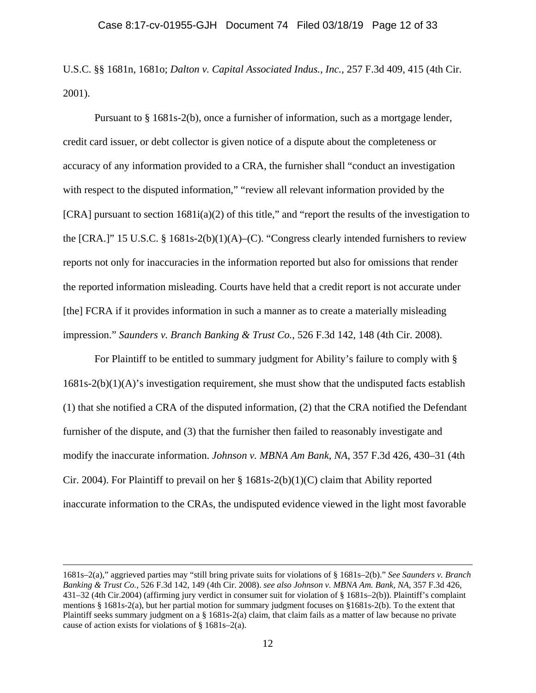U.S.C. §§ 1681n, 1681o; *Dalton v. Capital Associated Indus., Inc.,* 257 F.3d 409, 415 (4th Cir. 2001).

Pursuant to § 1681s-2(b), once a furnisher of information, such as a mortgage lender, credit card issuer, or debt collector is given notice of a dispute about the completeness or accuracy of any information provided to a CRA, the furnisher shall "conduct an investigation with respect to the disputed information," "review all relevant information provided by the  $[CRA]$  pursuant to section  $1681i(a)(2)$  of this title," and "report the results of the investigation to the  $[CRA.]$ " 15 U.S.C. § 1681s-2(b)(1)(A)–(C). "Congress clearly intended furnishers to review reports not only for inaccuracies in the information reported but also for omissions that render the reported information misleading. Courts have held that a credit report is not accurate under [the] FCRA if it provides information in such a manner as to create a materially misleading impression." *Saunders v. Branch Banking & Trust Co.*, 526 F.3d 142, 148 (4th Cir. 2008).

For Plaintiff to be entitled to summary judgment for Ability's failure to comply with § 1681s-2(b)(1)(A)'s investigation requirement, she must show that the undisputed facts establish (1) that she notified a CRA of the disputed information, (2) that the CRA notified the Defendant furnisher of the dispute, and (3) that the furnisher then failed to reasonably investigate and modify the inaccurate information. *Johnson v. MBNA Am Bank, NA*, 357 F.3d 426, 430–31 (4th Cir. 2004). For Plaintiff to prevail on her  $\S 1681s-2(b)(1)(C)$  claim that Ability reported inaccurate information to the CRAs, the undisputed evidence viewed in the light most favorable

 <sup>1681</sup>s–2(a)," aggrieved parties may "still bring private suits for violations of § 1681s–2(b)." *See Saunders v. Branch Banking & Trust Co.*, 526 F.3d 142, 149 (4th Cir. 2008). *see also Johnson v. MBNA Am. Bank, NA,* 357 F.3d 426, 431–32 (4th Cir.2004) (affirming jury verdict in consumer suit for violation of § 1681s–2(b)). Plaintiff's complaint mentions § 1681s-2(a), but her partial motion for summary judgment focuses on §1681s-2(b). To the extent that Plaintiff seeks summary judgment on a § 1681s-2(a) claim, that claim fails as a matter of law because no private cause of action exists for violations of § 1681s–2(a).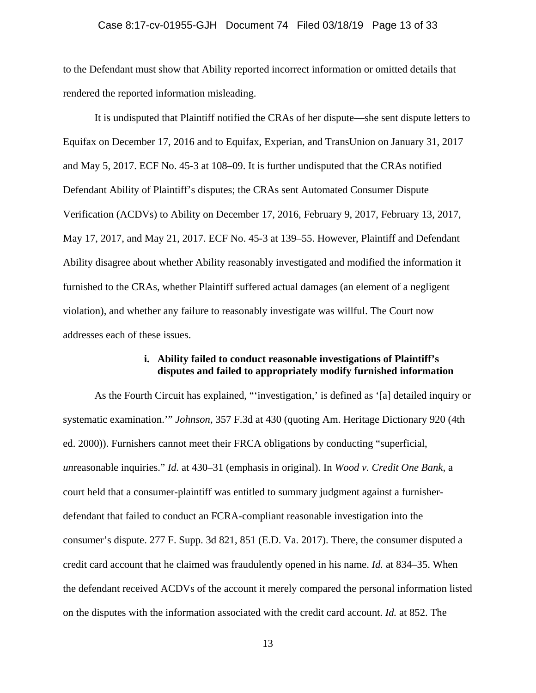### Case 8:17-cv-01955-GJH Document 74 Filed 03/18/19 Page 13 of 33

to the Defendant must show that Ability reported incorrect information or omitted details that rendered the reported information misleading.

It is undisputed that Plaintiff notified the CRAs of her dispute—she sent dispute letters to Equifax on December 17, 2016 and to Equifax, Experian, and TransUnion on January 31, 2017 and May 5, 2017. ECF No. 45-3 at 108–09. It is further undisputed that the CRAs notified Defendant Ability of Plaintiff's disputes; the CRAs sent Automated Consumer Dispute Verification (ACDVs) to Ability on December 17, 2016, February 9, 2017, February 13, 2017, May 17, 2017, and May 21, 2017. ECF No. 45-3 at 139–55. However, Plaintiff and Defendant Ability disagree about whether Ability reasonably investigated and modified the information it furnished to the CRAs, whether Plaintiff suffered actual damages (an element of a negligent violation), and whether any failure to reasonably investigate was willful. The Court now addresses each of these issues.

### **i. Ability failed to conduct reasonable investigations of Plaintiff's disputes and failed to appropriately modify furnished information**

As the Fourth Circuit has explained, "'investigation,' is defined as '[a] detailed inquiry or systematic examination.'" *Johnson*, 357 F.3d at 430 (quoting Am. Heritage Dictionary 920 (4th ed. 2000)). Furnishers cannot meet their FRCA obligations by conducting "superficial, *un*reasonable inquiries." *Id.* at 430–31 (emphasis in original). In *Wood v. Credit One Bank*, a court held that a consumer-plaintiff was entitled to summary judgment against a furnisherdefendant that failed to conduct an FCRA-compliant reasonable investigation into the consumer's dispute. 277 F. Supp. 3d 821, 851 (E.D. Va. 2017). There, the consumer disputed a credit card account that he claimed was fraudulently opened in his name. *Id.* at 834–35. When the defendant received ACDVs of the account it merely compared the personal information listed on the disputes with the information associated with the credit card account. *Id.* at 852. The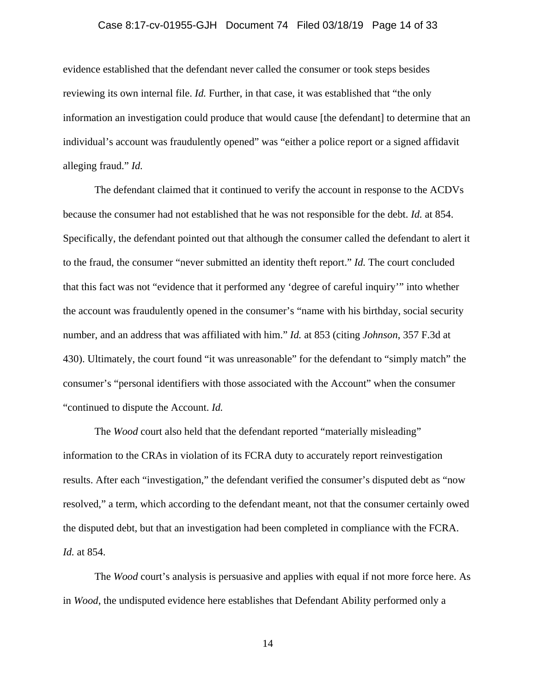### Case 8:17-cv-01955-GJH Document 74 Filed 03/18/19 Page 14 of 33

evidence established that the defendant never called the consumer or took steps besides reviewing its own internal file. *Id.* Further, in that case, it was established that "the only" information an investigation could produce that would cause [the defendant] to determine that an individual's account was fraudulently opened" was "either a police report or a signed affidavit alleging fraud." *Id.* 

The defendant claimed that it continued to verify the account in response to the ACDVs because the consumer had not established that he was not responsible for the debt. *Id.* at 854. Specifically, the defendant pointed out that although the consumer called the defendant to alert it to the fraud, the consumer "never submitted an identity theft report." *Id.* The court concluded that this fact was not "evidence that it performed any 'degree of careful inquiry'" into whether the account was fraudulently opened in the consumer's "name with his birthday, social security number, and an address that was affiliated with him." *Id.* at 853 (citing *Johnson*, 357 F.3d at 430). Ultimately, the court found "it was unreasonable" for the defendant to "simply match" the consumer's "personal identifiers with those associated with the Account" when the consumer "continued to dispute the Account. *Id.* 

The *Wood* court also held that the defendant reported "materially misleading" information to the CRAs in violation of its FCRA duty to accurately report reinvestigation results. After each "investigation," the defendant verified the consumer's disputed debt as "now resolved," a term, which according to the defendant meant, not that the consumer certainly owed the disputed debt, but that an investigation had been completed in compliance with the FCRA. *Id.* at 854.

The *Wood* court's analysis is persuasive and applies with equal if not more force here. As in *Wood*, the undisputed evidence here establishes that Defendant Ability performed only a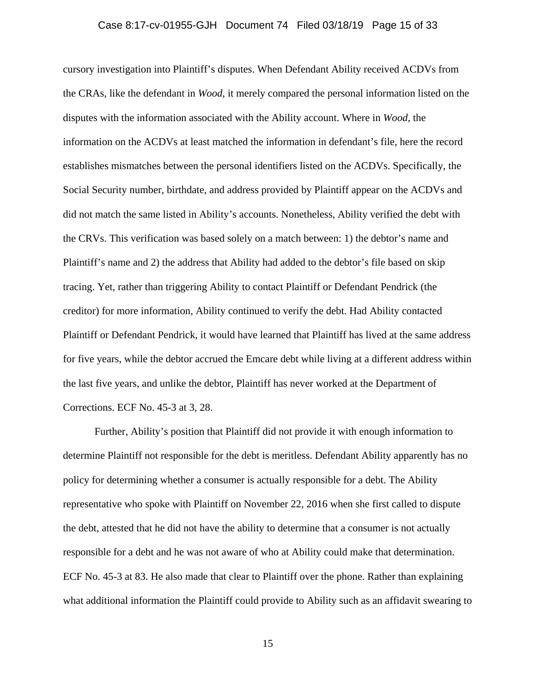### Case 8:17-cv-01955-GJH Document 74 Filed 03/18/19 Page 15 of 33

cursory investigation into Plaintiff's disputes. When Defendant Ability received ACDVs from the CRAs, like the defendant in *Wood*, it merely compared the personal information listed on the disputes with the information associated with the Ability account. Where in *Wood*, the information on the ACDVs at least matched the information in defendant's file, here the record establishes mismatches between the personal identifiers listed on the ACDVs. Specifically, the Social Security number, birthdate, and address provided by Plaintiff appear on the ACDVs and did not match the same listed in Ability's accounts. Nonetheless, Ability verified the debt with the CRVs. This verification was based solely on a match between: 1) the debtor's name and Plaintiff's name and 2) the address that Ability had added to the debtor's file based on skip tracing. Yet, rather than triggering Ability to contact Plaintiff or Defendant Pendrick (the creditor) for more information, Ability continued to verify the debt. Had Ability contacted Plaintiff or Defendant Pendrick, it would have learned that Plaintiff has lived at the same address for five years, while the debtor accrued the Emcare debt while living at a different address within the last five years, and unlike the debtor, Plaintiff has never worked at the Department of Corrections. ECF No. 45-3 at 3, 28.

Further, Ability's position that Plaintiff did not provide it with enough information to determine Plaintiff not responsible for the debt is meritless. Defendant Ability apparently has no policy for determining whether a consumer is actually responsible for a debt. The Ability representative who spoke with Plaintiff on November 22, 2016 when she first called to dispute the debt, attested that he did not have the ability to determine that a consumer is not actually responsible for a debt and he was not aware of who at Ability could make that determination. ECF No. 45-3 at 83. He also made that clear to Plaintiff over the phone. Rather than explaining what additional information the Plaintiff could provide to Ability such as an affidavit swearing to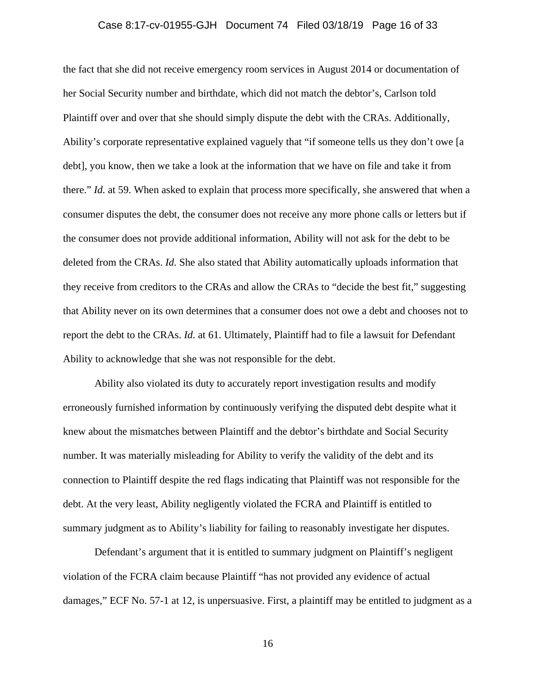### Case 8:17-cv-01955-GJH Document 74 Filed 03/18/19 Page 16 of 33

the fact that she did not receive emergency room services in August 2014 or documentation of her Social Security number and birthdate, which did not match the debtor's, Carlson told Plaintiff over and over that she should simply dispute the debt with the CRAs. Additionally, Ability's corporate representative explained vaguely that "if someone tells us they don't owe [a debt], you know, then we take a look at the information that we have on file and take it from there." *Id.* at 59. When asked to explain that process more specifically, she answered that when a consumer disputes the debt, the consumer does not receive any more phone calls or letters but if the consumer does not provide additional information, Ability will not ask for the debt to be deleted from the CRAs. *Id.* She also stated that Ability automatically uploads information that they receive from creditors to the CRAs and allow the CRAs to "decide the best fit," suggesting that Ability never on its own determines that a consumer does not owe a debt and chooses not to report the debt to the CRAs. *Id.* at 61. Ultimately, Plaintiff had to file a lawsuit for Defendant Ability to acknowledge that she was not responsible for the debt.

Ability also violated its duty to accurately report investigation results and modify erroneously furnished information by continuously verifying the disputed debt despite what it knew about the mismatches between Plaintiff and the debtor's birthdate and Social Security number. It was materially misleading for Ability to verify the validity of the debt and its connection to Plaintiff despite the red flags indicating that Plaintiff was not responsible for the debt. At the very least, Ability negligently violated the FCRA and Plaintiff is entitled to summary judgment as to Ability's liability for failing to reasonably investigate her disputes.

Defendant's argument that it is entitled to summary judgment on Plaintiff's negligent violation of the FCRA claim because Plaintiff "has not provided any evidence of actual damages," ECF No. 57-1 at 12, is unpersuasive. First, a plaintiff may be entitled to judgment as a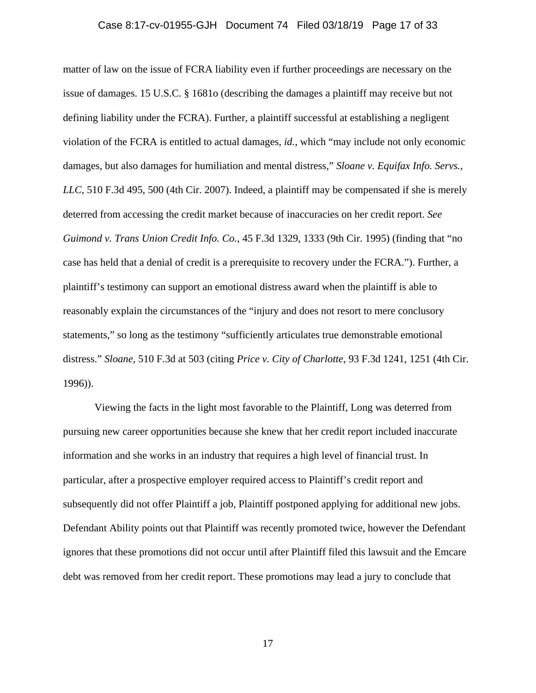### Case 8:17-cv-01955-GJH Document 74 Filed 03/18/19 Page 17 of 33

matter of law on the issue of FCRA liability even if further proceedings are necessary on the issue of damages. 15 U.S.C. § 1681o (describing the damages a plaintiff may receive but not defining liability under the FCRA). Further, a plaintiff successful at establishing a negligent violation of the FCRA is entitled to actual damages, *id.*, which "may include not only economic damages, but also damages for humiliation and mental distress," *Sloane v. Equifax Info. Servs., LLC*, 510 F.3d 495, 500 (4th Cir. 2007). Indeed, a plaintiff may be compensated if she is merely deterred from accessing the credit market because of inaccuracies on her credit report. *See Guimond v. Trans Union Credit Info. Co.*, 45 F.3d 1329, 1333 (9th Cir. 1995) (finding that "no case has held that a denial of credit is a prerequisite to recovery under the FCRA."). Further, a plaintiff's testimony can support an emotional distress award when the plaintiff is able to reasonably explain the circumstances of the "injury and does not resort to mere conclusory statements," so long as the testimony "sufficiently articulates true demonstrable emotional distress." *Sloane*, 510 F.3d at 503 (citing *Price v. City of Charlotte*, 93 F.3d 1241, 1251 (4th Cir. 1996)).

Viewing the facts in the light most favorable to the Plaintiff, Long was deterred from pursuing new career opportunities because she knew that her credit report included inaccurate information and she works in an industry that requires a high level of financial trust. In particular, after a prospective employer required access to Plaintiff's credit report and subsequently did not offer Plaintiff a job, Plaintiff postponed applying for additional new jobs. Defendant Ability points out that Plaintiff was recently promoted twice, however the Defendant ignores that these promotions did not occur until after Plaintiff filed this lawsuit and the Emcare debt was removed from her credit report. These promotions may lead a jury to conclude that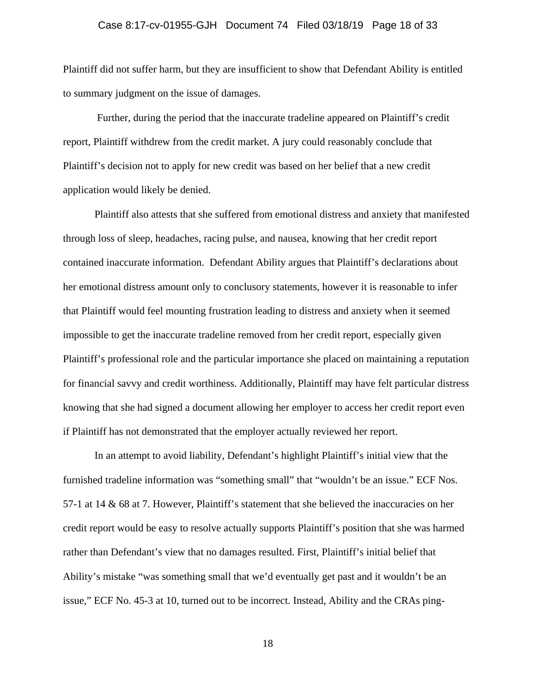### Case 8:17-cv-01955-GJH Document 74 Filed 03/18/19 Page 18 of 33

Plaintiff did not suffer harm, but they are insufficient to show that Defendant Ability is entitled to summary judgment on the issue of damages.

 Further, during the period that the inaccurate tradeline appeared on Plaintiff's credit report, Plaintiff withdrew from the credit market. A jury could reasonably conclude that Plaintiff's decision not to apply for new credit was based on her belief that a new credit application would likely be denied.

Plaintiff also attests that she suffered from emotional distress and anxiety that manifested through loss of sleep, headaches, racing pulse, and nausea, knowing that her credit report contained inaccurate information. Defendant Ability argues that Plaintiff's declarations about her emotional distress amount only to conclusory statements, however it is reasonable to infer that Plaintiff would feel mounting frustration leading to distress and anxiety when it seemed impossible to get the inaccurate tradeline removed from her credit report, especially given Plaintiff's professional role and the particular importance she placed on maintaining a reputation for financial savvy and credit worthiness. Additionally, Plaintiff may have felt particular distress knowing that she had signed a document allowing her employer to access her credit report even if Plaintiff has not demonstrated that the employer actually reviewed her report.

In an attempt to avoid liability, Defendant's highlight Plaintiff's initial view that the furnished tradeline information was "something small" that "wouldn't be an issue." ECF Nos. 57-1 at 14 & 68 at 7. However, Plaintiff's statement that she believed the inaccuracies on her credit report would be easy to resolve actually supports Plaintiff's position that she was harmed rather than Defendant's view that no damages resulted. First, Plaintiff's initial belief that Ability's mistake "was something small that we'd eventually get past and it wouldn't be an issue," ECF No. 45-3 at 10, turned out to be incorrect. Instead, Ability and the CRAs ping-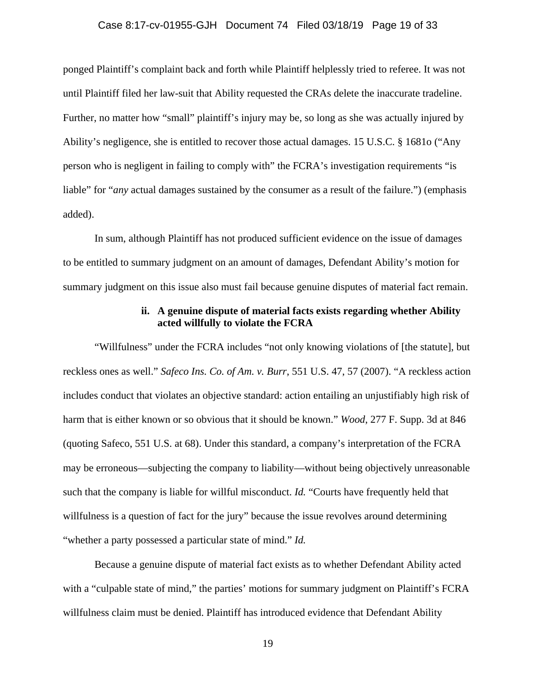### Case 8:17-cv-01955-GJH Document 74 Filed 03/18/19 Page 19 of 33

ponged Plaintiff's complaint back and forth while Plaintiff helplessly tried to referee. It was not until Plaintiff filed her law-suit that Ability requested the CRAs delete the inaccurate tradeline. Further, no matter how "small" plaintiff's injury may be, so long as she was actually injured by Ability's negligence, she is entitled to recover those actual damages. 15 U.S.C. § 1681o ("Any person who is negligent in failing to comply with" the FCRA's investigation requirements "is liable" for "*any* actual damages sustained by the consumer as a result of the failure.") (emphasis added).

In sum, although Plaintiff has not produced sufficient evidence on the issue of damages to be entitled to summary judgment on an amount of damages, Defendant Ability's motion for summary judgment on this issue also must fail because genuine disputes of material fact remain.

### **ii. A genuine dispute of material facts exists regarding whether Ability acted willfully to violate the FCRA**

"Willfulness" under the FCRA includes "not only knowing violations of [the statute], but reckless ones as well." *Safeco Ins. Co. of Am. v. Burr*, 551 U.S. 47, 57 (2007). "A reckless action includes conduct that violates an objective standard: action entailing an unjustifiably high risk of harm that is either known or so obvious that it should be known." *Wood*, 277 F. Supp. 3d at 846 (quoting Safeco, 551 U.S. at 68). Under this standard, a company's interpretation of the FCRA may be erroneous—subjecting the company to liability—without being objectively unreasonable such that the company is liable for willful misconduct. *Id.* "Courts have frequently held that willfulness is a question of fact for the jury" because the issue revolves around determining "whether a party possessed a particular state of mind." *Id.* 

Because a genuine dispute of material fact exists as to whether Defendant Ability acted with a "culpable state of mind," the parties' motions for summary judgment on Plaintiff's FCRA willfulness claim must be denied. Plaintiff has introduced evidence that Defendant Ability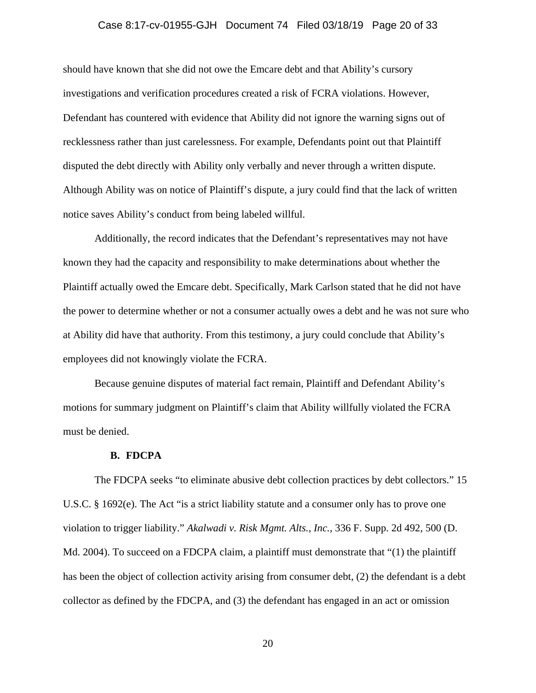#### Case 8:17-cv-01955-GJH Document 74 Filed 03/18/19 Page 20 of 33

should have known that she did not owe the Emcare debt and that Ability's cursory investigations and verification procedures created a risk of FCRA violations. However, Defendant has countered with evidence that Ability did not ignore the warning signs out of recklessness rather than just carelessness. For example, Defendants point out that Plaintiff disputed the debt directly with Ability only verbally and never through a written dispute. Although Ability was on notice of Plaintiff's dispute, a jury could find that the lack of written notice saves Ability's conduct from being labeled willful.

Additionally, the record indicates that the Defendant's representatives may not have known they had the capacity and responsibility to make determinations about whether the Plaintiff actually owed the Emcare debt. Specifically, Mark Carlson stated that he did not have the power to determine whether or not a consumer actually owes a debt and he was not sure who at Ability did have that authority. From this testimony, a jury could conclude that Ability's employees did not knowingly violate the FCRA.

Because genuine disputes of material fact remain, Plaintiff and Defendant Ability's motions for summary judgment on Plaintiff's claim that Ability willfully violated the FCRA must be denied.

#### **B. FDCPA**

The FDCPA seeks "to eliminate abusive debt collection practices by debt collectors." 15 U.S.C. § 1692(e). The Act "is a strict liability statute and a consumer only has to prove one violation to trigger liability." *Akalwadi v. Risk Mgmt. Alts., Inc.*, 336 F. Supp. 2d 492, 500 (D. Md. 2004). To succeed on a FDCPA claim, a plaintiff must demonstrate that "(1) the plaintiff has been the object of collection activity arising from consumer debt, (2) the defendant is a debt collector as defined by the FDCPA, and (3) the defendant has engaged in an act or omission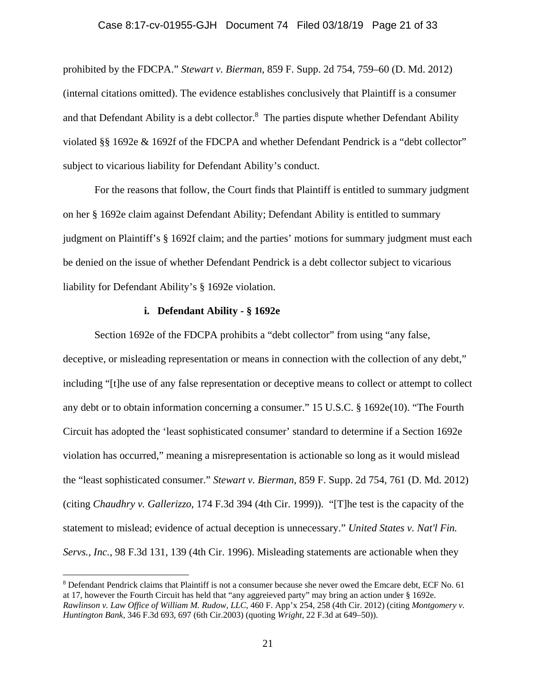#### Case 8:17-cv-01955-GJH Document 74 Filed 03/18/19 Page 21 of 33

prohibited by the FDCPA." *Stewart v. Bierman*, 859 F. Supp. 2d 754, 759–60 (D. Md. 2012) (internal citations omitted). The evidence establishes conclusively that Plaintiff is a consumer and that Defendant Ability is a debt collector. $8$  The parties dispute whether Defendant Ability violated §§ 1692e & 1692f of the FDCPA and whether Defendant Pendrick is a "debt collector" subject to vicarious liability for Defendant Ability's conduct.

For the reasons that follow, the Court finds that Plaintiff is entitled to summary judgment on her § 1692e claim against Defendant Ability; Defendant Ability is entitled to summary judgment on Plaintiff's § 1692f claim; and the parties' motions for summary judgment must each be denied on the issue of whether Defendant Pendrick is a debt collector subject to vicarious liability for Defendant Ability's § 1692e violation.

### **i. Defendant Ability - § 1692e**

 $\overline{a}$ 

Section 1692e of the FDCPA prohibits a "debt collector" from using "any false, deceptive, or misleading representation or means in connection with the collection of any debt," including "[t]he use of any false representation or deceptive means to collect or attempt to collect any debt or to obtain information concerning a consumer." 15 U.S.C. § 1692e(10). "The Fourth Circuit has adopted the 'least sophisticated consumer' standard to determine if a Section 1692e violation has occurred," meaning a misrepresentation is actionable so long as it would mislead the "least sophisticated consumer." *Stewart v. Bierman*, 859 F. Supp. 2d 754, 761 (D. Md. 2012) (citing *Chaudhry v. Gallerizzo*, 174 F.3d 394 (4th Cir. 1999)). "[T]he test is the capacity of the statement to mislead; evidence of actual deception is unnecessary." *United States v. Nat'l Fin. Servs., Inc.*, 98 F.3d 131, 139 (4th Cir. 1996). Misleading statements are actionable when they

<sup>&</sup>lt;sup>8</sup> Defendant Pendrick claims that Plaintiff is not a consumer because she never owed the Emcare debt, ECF No. 61 at 17, however the Fourth Circuit has held that "any aggreieved party" may bring an action under § 1692e. *Rawlinson v. Law Office of William M. Rudow, LLC*, 460 F. App'x 254, 258 (4th Cir. 2012) (citing *Montgomery v. Huntington Bank,* 346 F.3d 693, 697 (6th Cir.2003) (quoting *Wright,* 22 F.3d at 649–50)).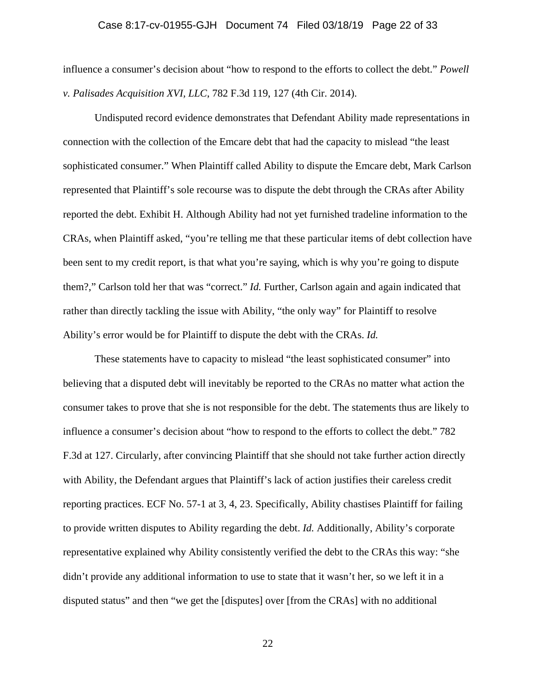### Case 8:17-cv-01955-GJH Document 74 Filed 03/18/19 Page 22 of 33

influence a consumer's decision about "how to respond to the efforts to collect the debt." *Powell v. Palisades Acquisition XVI, LLC*, 782 F.3d 119, 127 (4th Cir. 2014).

Undisputed record evidence demonstrates that Defendant Ability made representations in connection with the collection of the Emcare debt that had the capacity to mislead "the least sophisticated consumer." When Plaintiff called Ability to dispute the Emcare debt, Mark Carlson represented that Plaintiff's sole recourse was to dispute the debt through the CRAs after Ability reported the debt. Exhibit H. Although Ability had not yet furnished tradeline information to the CRAs, when Plaintiff asked, "you're telling me that these particular items of debt collection have been sent to my credit report, is that what you're saying, which is why you're going to dispute them?," Carlson told her that was "correct." *Id.* Further, Carlson again and again indicated that rather than directly tackling the issue with Ability, "the only way" for Plaintiff to resolve Ability's error would be for Plaintiff to dispute the debt with the CRAs. *Id.* 

These statements have to capacity to mislead "the least sophisticated consumer" into believing that a disputed debt will inevitably be reported to the CRAs no matter what action the consumer takes to prove that she is not responsible for the debt. The statements thus are likely to influence a consumer's decision about "how to respond to the efforts to collect the debt." 782 F.3d at 127. Circularly, after convincing Plaintiff that she should not take further action directly with Ability, the Defendant argues that Plaintiff's lack of action justifies their careless credit reporting practices. ECF No. 57-1 at 3, 4, 23. Specifically, Ability chastises Plaintiff for failing to provide written disputes to Ability regarding the debt. *Id.* Additionally, Ability's corporate representative explained why Ability consistently verified the debt to the CRAs this way: "she didn't provide any additional information to use to state that it wasn't her, so we left it in a disputed status" and then "we get the [disputes] over [from the CRAs] with no additional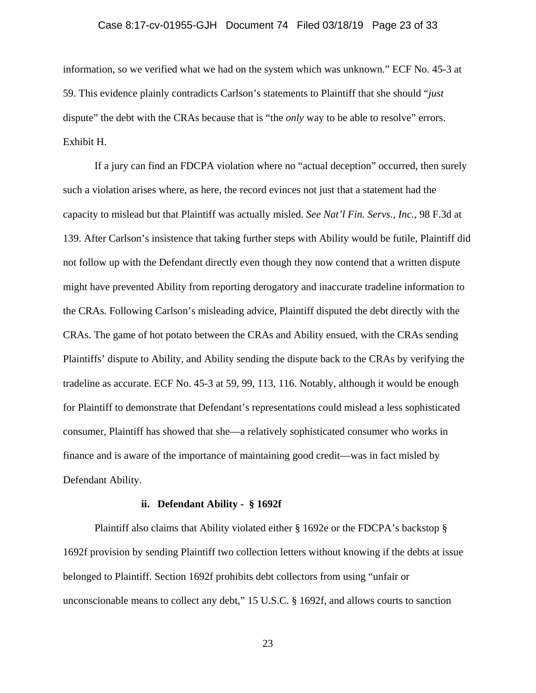#### Case 8:17-cv-01955-GJH Document 74 Filed 03/18/19 Page 23 of 33

information, so we verified what we had on the system which was unknown." ECF No. 45-3 at 59. This evidence plainly contradicts Carlson's statements to Plaintiff that she should "*just* dispute" the debt with the CRAs because that is "the *only* way to be able to resolve" errors. Exhibit H.

If a jury can find an FDCPA violation where no "actual deception" occurred, then surely such a violation arises where, as here, the record evinces not just that a statement had the capacity to mislead but that Plaintiff was actually misled. *See Nat'l Fin. Servs., Inc.*, 98 F.3d at 139. After Carlson's insistence that taking further steps with Ability would be futile, Plaintiff did not follow up with the Defendant directly even though they now contend that a written dispute might have prevented Ability from reporting derogatory and inaccurate tradeline information to the CRAs. Following Carlson's misleading advice, Plaintiff disputed the debt directly with the CRAs. The game of hot potato between the CRAs and Ability ensued, with the CRAs sending Plaintiffs' dispute to Ability, and Ability sending the dispute back to the CRAs by verifying the tradeline as accurate. ECF No. 45-3 at 59, 99, 113, 116. Notably, although it would be enough for Plaintiff to demonstrate that Defendant's representations could mislead a less sophisticated consumer, Plaintiff has showed that she—a relatively sophisticated consumer who works in finance and is aware of the importance of maintaining good credit—was in fact misled by Defendant Ability.

#### **ii. Defendant Ability - § 1692f**

Plaintiff also claims that Ability violated either § 1692e or the FDCPA's backstop § 1692f provision by sending Plaintiff two collection letters without knowing if the debts at issue belonged to Plaintiff. Section 1692f prohibits debt collectors from using "unfair or unconscionable means to collect any debt," 15 U.S.C. § 1692f, and allows courts to sanction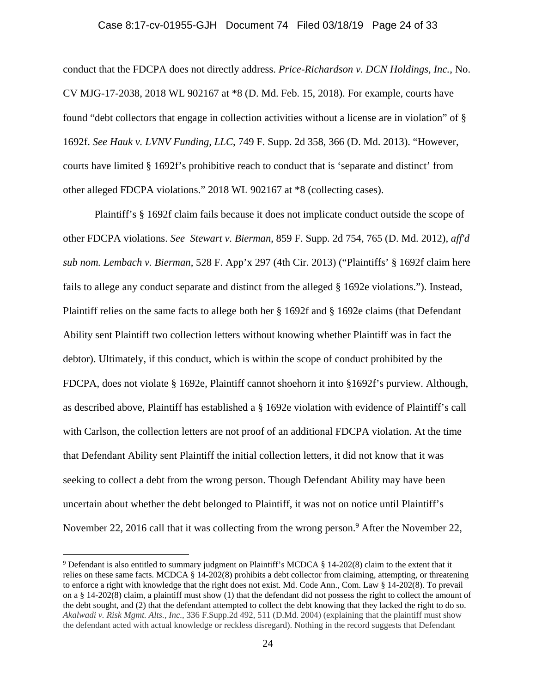#### Case 8:17-cv-01955-GJH Document 74 Filed 03/18/19 Page 24 of 33

conduct that the FDCPA does not directly address. *Price-Richardson v. DCN Holdings, Inc.*, No. CV MJG-17-2038, 2018 WL 902167 at \*8 (D. Md. Feb. 15, 2018). For example, courts have found "debt collectors that engage in collection activities without a license are in violation" of § 1692f. *See Hauk v. LVNV Funding, LLC*, 749 F. Supp. 2d 358, 366 (D. Md. 2013). "However, courts have limited § 1692f's prohibitive reach to conduct that is 'separate and distinct' from other alleged FDCPA violations." 2018 WL 902167 at \*8 (collecting cases).

Plaintiff's § 1692f claim fails because it does not implicate conduct outside the scope of other FDCPA violations. *See Stewart v. Bierman*, 859 F. Supp. 2d 754, 765 (D. Md. 2012), *aff'd sub nom. Lembach v. Bierman*, 528 F. App'x 297 (4th Cir. 2013) ("Plaintiffs' § 1692f claim here fails to allege any conduct separate and distinct from the alleged § 1692e violations."). Instead, Plaintiff relies on the same facts to allege both her § 1692f and § 1692e claims (that Defendant Ability sent Plaintiff two collection letters without knowing whether Plaintiff was in fact the debtor). Ultimately, if this conduct, which is within the scope of conduct prohibited by the FDCPA, does not violate § 1692e, Plaintiff cannot shoehorn it into §1692f's purview. Although, as described above, Plaintiff has established a § 1692e violation with evidence of Plaintiff's call with Carlson, the collection letters are not proof of an additional FDCPA violation. At the time that Defendant Ability sent Plaintiff the initial collection letters, it did not know that it was seeking to collect a debt from the wrong person. Though Defendant Ability may have been uncertain about whether the debt belonged to Plaintiff, it was not on notice until Plaintiff's November 22, 2016 call that it was collecting from the wrong person.<sup>9</sup> After the November 22,

 $\overline{a}$ 

<sup>9</sup> Defendant is also entitled to summary judgment on Plaintiff's MCDCA § 14-202(8) claim to the extent that it relies on these same facts. MCDCA § 14-202(8) prohibits a debt collector from claiming, attempting, or threatening to enforce a right with knowledge that the right does not exist. Md. Code Ann., Com. Law § 14-202(8). To prevail on a  $\S$  14-202(8) claim, a plaintiff must show (1) that the defendant did not possess the right to collect the amount of the debt sought, and (2) that the defendant attempted to collect the debt knowing that they lacked the right to do so. *Akalwadi v. Risk Mgmt. Alts., Inc.*, 336 F.Supp.2d 492, 511 (D.Md. 2004) (explaining that the plaintiff must show the defendant acted with actual knowledge or reckless disregard). Nothing in the record suggests that Defendant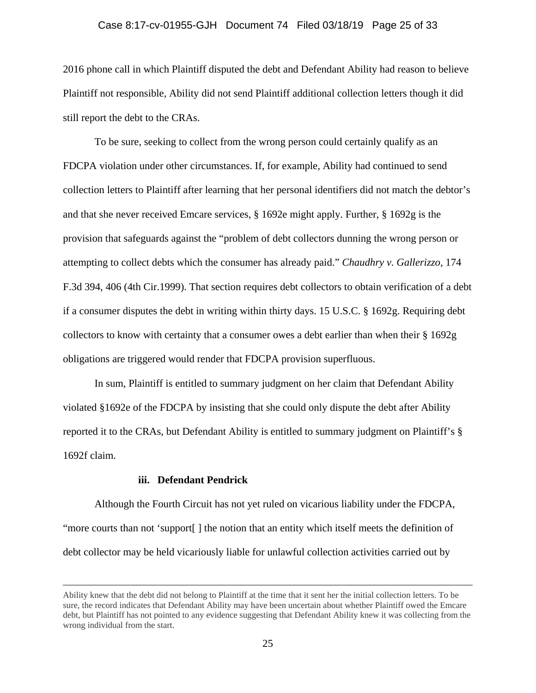#### Case 8:17-cv-01955-GJH Document 74 Filed 03/18/19 Page 25 of 33

2016 phone call in which Plaintiff disputed the debt and Defendant Ability had reason to believe Plaintiff not responsible, Ability did not send Plaintiff additional collection letters though it did still report the debt to the CRAs.

To be sure, seeking to collect from the wrong person could certainly qualify as an FDCPA violation under other circumstances. If, for example, Ability had continued to send collection letters to Plaintiff after learning that her personal identifiers did not match the debtor's and that she never received Emcare services, § 1692e might apply. Further, § 1692g is the provision that safeguards against the "problem of debt collectors dunning the wrong person or attempting to collect debts which the consumer has already paid." *Chaudhry v. Gallerizzo,* 174 F.3d 394, 406 (4th Cir.1999). That section requires debt collectors to obtain verification of a debt if a consumer disputes the debt in writing within thirty days. 15 U.S.C. § 1692g. Requiring debt collectors to know with certainty that a consumer owes a debt earlier than when their § 1692g obligations are triggered would render that FDCPA provision superfluous.

In sum, Plaintiff is entitled to summary judgment on her claim that Defendant Ability violated §1692e of the FDCPA by insisting that she could only dispute the debt after Ability reported it to the CRAs, but Defendant Ability is entitled to summary judgment on Plaintiff's § 1692f claim.

#### **iii. Defendant Pendrick**

Although the Fourth Circuit has not yet ruled on vicarious liability under the FDCPA, "more courts than not 'support[ ] the notion that an entity which itself meets the definition of debt collector may be held vicariously liable for unlawful collection activities carried out by

Ability knew that the debt did not belong to Plaintiff at the time that it sent her the initial collection letters. To be sure, the record indicates that Defendant Ability may have been uncertain about whether Plaintiff owed the Emcare debt, but Plaintiff has not pointed to any evidence suggesting that Defendant Ability knew it was collecting from the wrong individual from the start.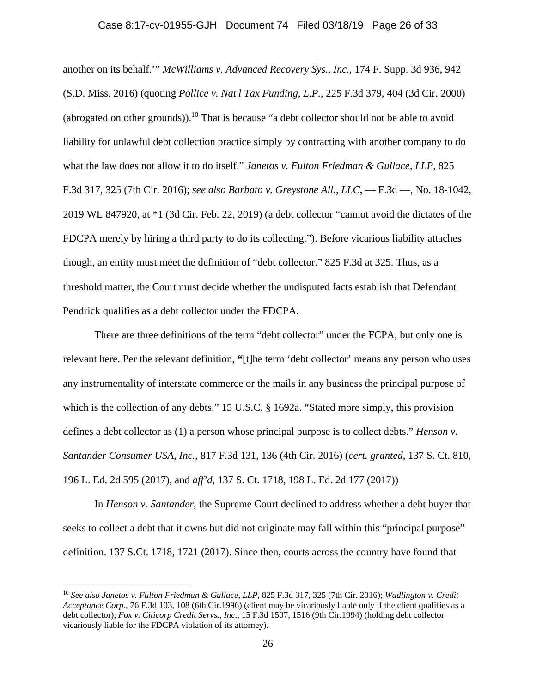### Case 8:17-cv-01955-GJH Document 74 Filed 03/18/19 Page 26 of 33

another on its behalf.'" *McWilliams v. Advanced Recovery Sys., Inc.*, 174 F. Supp. 3d 936, 942 (S.D. Miss. 2016) (quoting *Pollice v. Nat'l Tax Funding, L.P.,* 225 F.3d 379, 404 (3d Cir. 2000) (abrogated on other grounds)).<sup>10</sup> That is because "a debt collector should not be able to avoid liability for unlawful debt collection practice simply by contracting with another company to do what the law does not allow it to do itself." *Janetos v. Fulton Friedman & Gullace, LLP*, 825 F.3d 317, 325 (7th Cir. 2016); *see also Barbato v. Greystone All., LLC*, — F.3d —, No. 18-1042, 2019 WL 847920, at \*1 (3d Cir. Feb. 22, 2019) (a debt collector "cannot avoid the dictates of the FDCPA merely by hiring a third party to do its collecting."). Before vicarious liability attaches though, an entity must meet the definition of "debt collector." 825 F.3d at 325. Thus, as a threshold matter, the Court must decide whether the undisputed facts establish that Defendant Pendrick qualifies as a debt collector under the FDCPA.

There are three definitions of the term "debt collector" under the FCPA, but only one is relevant here. Per the relevant definition, **"**[t]he term 'debt collector' means any person who uses any instrumentality of interstate commerce or the mails in any business the principal purpose of which is the collection of any debts." 15 U.S.C. § 1692a. "Stated more simply, this provision defines a debt collector as (1) a person whose principal purpose is to collect debts." *Henson v. Santander Consumer USA, Inc.*, 817 F.3d 131, 136 (4th Cir. 2016) (*cert. granted*, 137 S. Ct. 810, 196 L. Ed. 2d 595 (2017), and *aff'd*, 137 S. Ct. 1718, 198 L. Ed. 2d 177 (2017))

In *Henson v. Santander*, the Supreme Court declined to address whether a debt buyer that seeks to collect a debt that it owns but did not originate may fall within this "principal purpose" definition. 137 S.Ct. 1718, 1721 (2017). Since then, courts across the country have found that

 $\overline{a}$ 

<sup>10</sup> *See also Janetos v. Fulton Friedman & Gullace, LLP*, 825 F.3d 317, 325 (7th Cir. 2016); *Wadlington v. Credit Acceptance Corp.*, 76 F.3d 103, 108 (6th Cir.1996) (client may be vicariously liable only if the client qualifies as a debt collector); *Fox v. Citicorp Credit Servs., Inc.*, 15 F.3d 1507, 1516 (9th Cir.1994) (holding debt collector vicariously liable for the FDCPA violation of its attorney).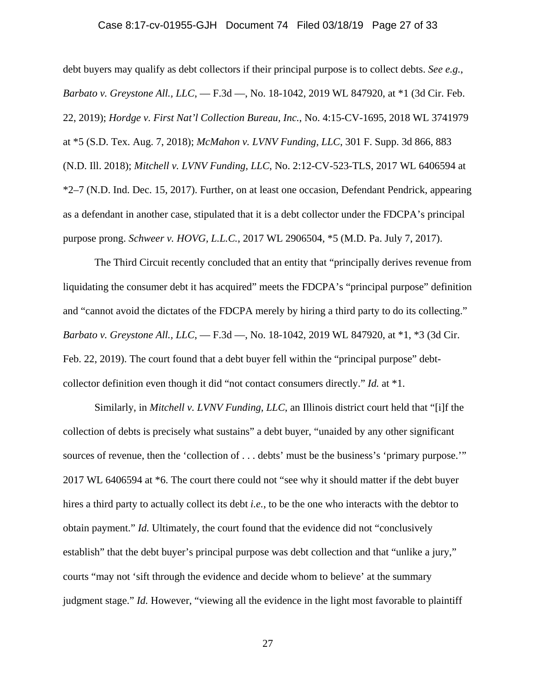### Case 8:17-cv-01955-GJH Document 74 Filed 03/18/19 Page 27 of 33

debt buyers may qualify as debt collectors if their principal purpose is to collect debts. *See e.g.*, *Barbato v. Greystone All., LLC*, — F.3d —, No. 18-1042, 2019 WL 847920, at \*1 (3d Cir. Feb. 22, 2019); *Hordge v. First Nat'l Collection Bureau, Inc.*, No. 4:15-CV-1695, 2018 WL 3741979 at \*5 (S.D. Tex. Aug. 7, 2018); *McMahon v. LVNV Funding, LLC*, 301 F. Supp. 3d 866, 883 (N.D. Ill. 2018); *Mitchell v. LVNV Funding, LLC*, No. 2:12-CV-523-TLS, 2017 WL 6406594 at \*2–7 (N.D. Ind. Dec. 15, 2017). Further, on at least one occasion, Defendant Pendrick, appearing as a defendant in another case, stipulated that it is a debt collector under the FDCPA's principal purpose prong. *Schweer v. HOVG, L.L.C.*, 2017 WL 2906504, \*5 (M.D. Pa. July 7, 2017).

The Third Circuit recently concluded that an entity that "principally derives revenue from liquidating the consumer debt it has acquired" meets the FDCPA's "principal purpose" definition and "cannot avoid the dictates of the FDCPA merely by hiring a third party to do its collecting." *Barbato v. Greystone All., LLC*, — F.3d —, No. 18-1042, 2019 WL 847920, at \*1, \*3 (3d Cir. Feb. 22, 2019). The court found that a debt buyer fell within the "principal purpose" debtcollector definition even though it did "not contact consumers directly." *Id.* at \*1.

Similarly, in *Mitchell v. LVNV Funding, LLC*, an Illinois district court held that "[i]f the collection of debts is precisely what sustains" a debt buyer, "unaided by any other significant sources of revenue, then the 'collection of . . . debts' must be the business's 'primary purpose.'" 2017 WL 6406594 at \*6. The court there could not "see why it should matter if the debt buyer hires a third party to actually collect its debt *i.e.*, to be the one who interacts with the debtor to obtain payment." *Id.* Ultimately, the court found that the evidence did not "conclusively establish" that the debt buyer's principal purpose was debt collection and that "unlike a jury," courts "may not 'sift through the evidence and decide whom to believe' at the summary judgment stage." *Id.* However, "viewing all the evidence in the light most favorable to plaintiff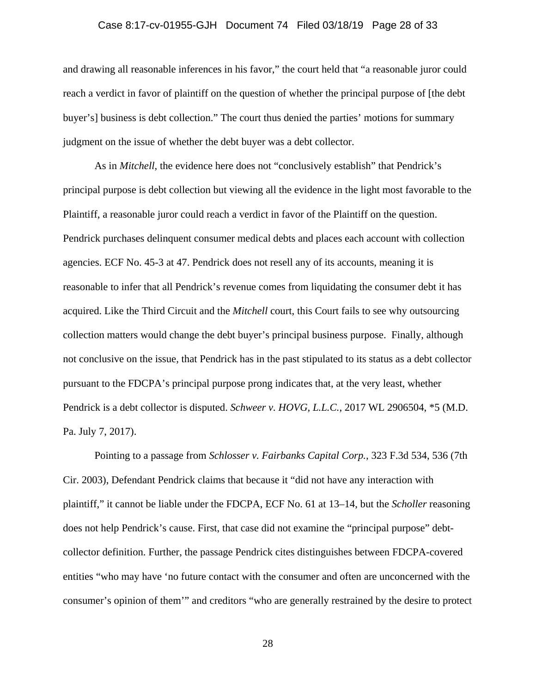### Case 8:17-cv-01955-GJH Document 74 Filed 03/18/19 Page 28 of 33

and drawing all reasonable inferences in his favor," the court held that "a reasonable juror could reach a verdict in favor of plaintiff on the question of whether the principal purpose of [the debt buyer's] business is debt collection." The court thus denied the parties' motions for summary judgment on the issue of whether the debt buyer was a debt collector.

As in *Mitchell*, the evidence here does not "conclusively establish" that Pendrick's principal purpose is debt collection but viewing all the evidence in the light most favorable to the Plaintiff, a reasonable juror could reach a verdict in favor of the Plaintiff on the question. Pendrick purchases delinquent consumer medical debts and places each account with collection agencies. ECF No. 45-3 at 47. Pendrick does not resell any of its accounts, meaning it is reasonable to infer that all Pendrick's revenue comes from liquidating the consumer debt it has acquired. Like the Third Circuit and the *Mitchell* court, this Court fails to see why outsourcing collection matters would change the debt buyer's principal business purpose. Finally, although not conclusive on the issue, that Pendrick has in the past stipulated to its status as a debt collector pursuant to the FDCPA's principal purpose prong indicates that, at the very least, whether Pendrick is a debt collector is disputed. *Schweer v. HOVG, L.L.C.*, 2017 WL 2906504, \*5 (M.D. Pa. July 7, 2017).

Pointing to a passage from *Schlosser v. Fairbanks Capital Corp.*, 323 F.3d 534, 536 (7th Cir. 2003), Defendant Pendrick claims that because it "did not have any interaction with plaintiff," it cannot be liable under the FDCPA, ECF No. 61 at 13–14, but the *Scholler* reasoning does not help Pendrick's cause. First, that case did not examine the "principal purpose" debtcollector definition. Further, the passage Pendrick cites distinguishes between FDCPA-covered entities "who may have 'no future contact with the consumer and often are unconcerned with the consumer's opinion of them'" and creditors "who are generally restrained by the desire to protect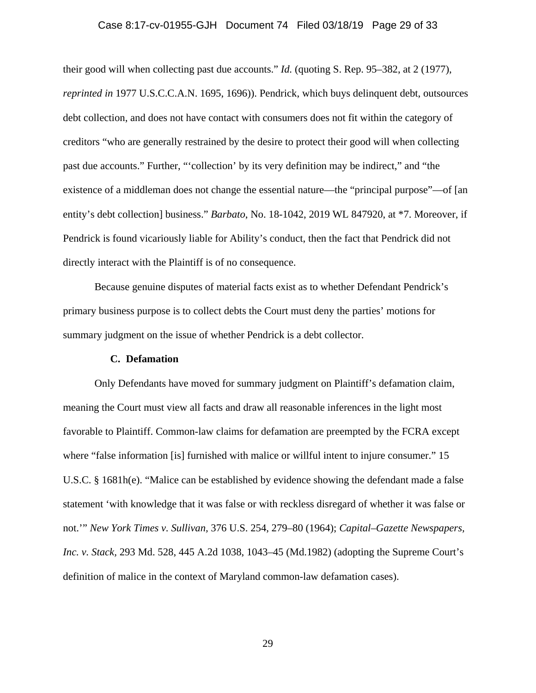### Case 8:17-cv-01955-GJH Document 74 Filed 03/18/19 Page 29 of 33

their good will when collecting past due accounts." *Id.* (quoting S. Rep. 95–382, at 2 (1977), *reprinted in* 1977 U.S.C.C.A.N. 1695, 1696)). Pendrick, which buys delinquent debt, outsources debt collection, and does not have contact with consumers does not fit within the category of creditors "who are generally restrained by the desire to protect their good will when collecting past due accounts." Further, "'collection' by its very definition may be indirect," and "the existence of a middleman does not change the essential nature—the "principal purpose"—of [an entity's debt collection] business." *Barbato*, No. 18-1042, 2019 WL 847920, at \*7. Moreover, if Pendrick is found vicariously liable for Ability's conduct, then the fact that Pendrick did not directly interact with the Plaintiff is of no consequence.

Because genuine disputes of material facts exist as to whether Defendant Pendrick's primary business purpose is to collect debts the Court must deny the parties' motions for summary judgment on the issue of whether Pendrick is a debt collector.

#### **C. Defamation**

Only Defendants have moved for summary judgment on Plaintiff's defamation claim, meaning the Court must view all facts and draw all reasonable inferences in the light most favorable to Plaintiff. Common-law claims for defamation are preempted by the FCRA except where "false information [is] furnished with malice or willful intent to injure consumer." 15 U.S.C. § 1681h(e). "Malice can be established by evidence showing the defendant made a false statement 'with knowledge that it was false or with reckless disregard of whether it was false or not.'" *New York Times v. Sullivan,* 376 U.S. 254, 279–80 (1964); *Capital–Gazette Newspapers, Inc. v. Stack,* 293 Md. 528, 445 A.2d 1038, 1043–45 (Md.1982) (adopting the Supreme Court's definition of malice in the context of Maryland common-law defamation cases).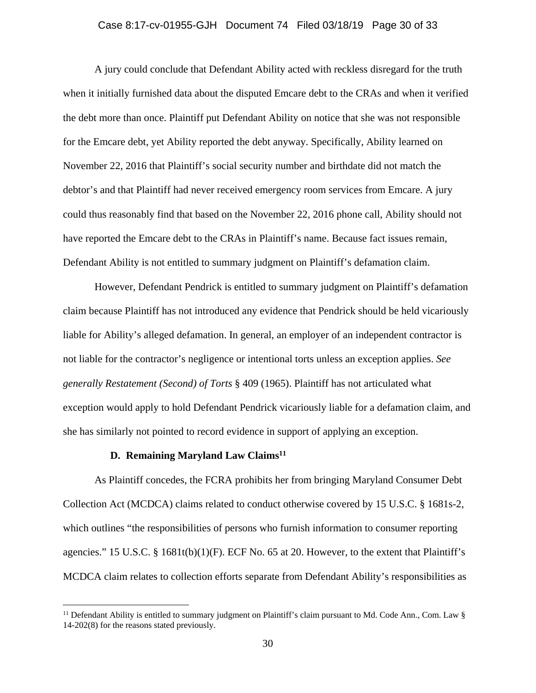### Case 8:17-cv-01955-GJH Document 74 Filed 03/18/19 Page 30 of 33

A jury could conclude that Defendant Ability acted with reckless disregard for the truth when it initially furnished data about the disputed Emcare debt to the CRAs and when it verified the debt more than once. Plaintiff put Defendant Ability on notice that she was not responsible for the Emcare debt, yet Ability reported the debt anyway. Specifically, Ability learned on November 22, 2016 that Plaintiff's social security number and birthdate did not match the debtor's and that Plaintiff had never received emergency room services from Emcare. A jury could thus reasonably find that based on the November 22, 2016 phone call, Ability should not have reported the Emcare debt to the CRAs in Plaintiff's name. Because fact issues remain, Defendant Ability is not entitled to summary judgment on Plaintiff's defamation claim.

However, Defendant Pendrick is entitled to summary judgment on Plaintiff's defamation claim because Plaintiff has not introduced any evidence that Pendrick should be held vicariously liable for Ability's alleged defamation. In general, an employer of an independent contractor is not liable for the contractor's negligence or intentional torts unless an exception applies. *See generally Restatement (Second) of Torts* § 409 (1965). Plaintiff has not articulated what exception would apply to hold Defendant Pendrick vicariously liable for a defamation claim, and she has similarly not pointed to record evidence in support of applying an exception.

### **D. Remaining Maryland Law Claims11**

 $\overline{a}$ 

As Plaintiff concedes, the FCRA prohibits her from bringing Maryland Consumer Debt Collection Act (MCDCA) claims related to conduct otherwise covered by 15 U.S.C. § 1681s-2, which outlines "the responsibilities of persons who furnish information to consumer reporting agencies." 15 U.S.C. § 1681t(b)(1)(F). ECF No. 65 at 20. However, to the extent that Plaintiff's MCDCA claim relates to collection efforts separate from Defendant Ability's responsibilities as

<sup>&</sup>lt;sup>11</sup> Defendant Ability is entitled to summary judgment on Plaintiff's claim pursuant to Md. Code Ann., Com. Law  $\S$ 14-202(8) for the reasons stated previously.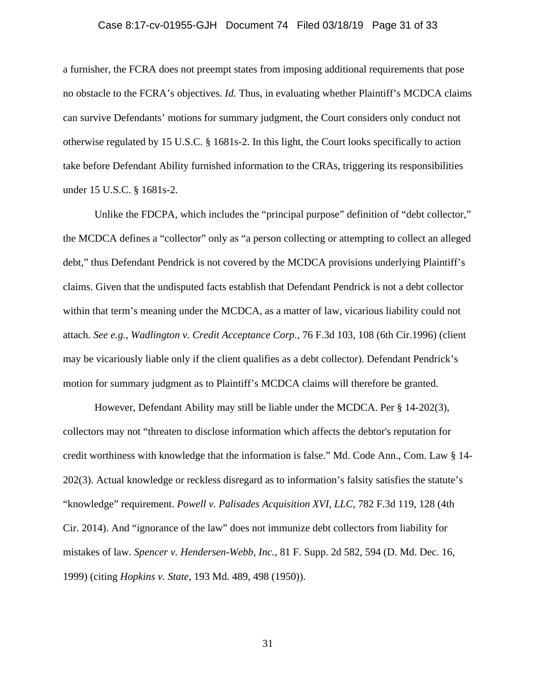#### Case 8:17-cv-01955-GJH Document 74 Filed 03/18/19 Page 31 of 33

a furnisher, the FCRA does not preempt states from imposing additional requirements that pose no obstacle to the FCRA's objectives. *Id.* Thus, in evaluating whether Plaintiff's MCDCA claims can survive Defendants' motions for summary judgment, the Court considers only conduct not otherwise regulated by 15 U.S.C. § 1681s-2. In this light, the Court looks specifically to action take before Defendant Ability furnished information to the CRAs, triggering its responsibilities under 15 U.S.C. § 1681s-2.

Unlike the FDCPA, which includes the "principal purpose" definition of "debt collector," the MCDCA defines a "collector" only as "a person collecting or attempting to collect an alleged debt," thus Defendant Pendrick is not covered by the MCDCA provisions underlying Plaintiff's claims. Given that the undisputed facts establish that Defendant Pendrick is not a debt collector within that term's meaning under the MCDCA, as a matter of law, vicarious liability could not attach. *See e.g.*, *Wadlington v. Credit Acceptance Corp.*, 76 F.3d 103, 108 (6th Cir.1996) (client may be vicariously liable only if the client qualifies as a debt collector). Defendant Pendrick's motion for summary judgment as to Plaintiff's MCDCA claims will therefore be granted.

However, Defendant Ability may still be liable under the MCDCA. Per § 14-202(3), collectors may not "threaten to disclose information which affects the debtor's reputation for credit worthiness with knowledge that the information is false." Md. Code Ann., Com. Law § 14- 202(3). Actual knowledge or reckless disregard as to information's falsity satisfies the statute's "knowledge" requirement. *Powell v. Palisades Acquisition XVI, LLC*, 782 F.3d 119, 128 (4th Cir. 2014). And "ignorance of the law" does not immunize debt collectors from liability for mistakes of law. *Spencer v. Hendersen-Webb, Inc.*, 81 F. Supp. 2d 582, 594 (D. Md. Dec. 16, 1999) (citing *Hopkins v. State*, 193 Md. 489, 498 (1950)).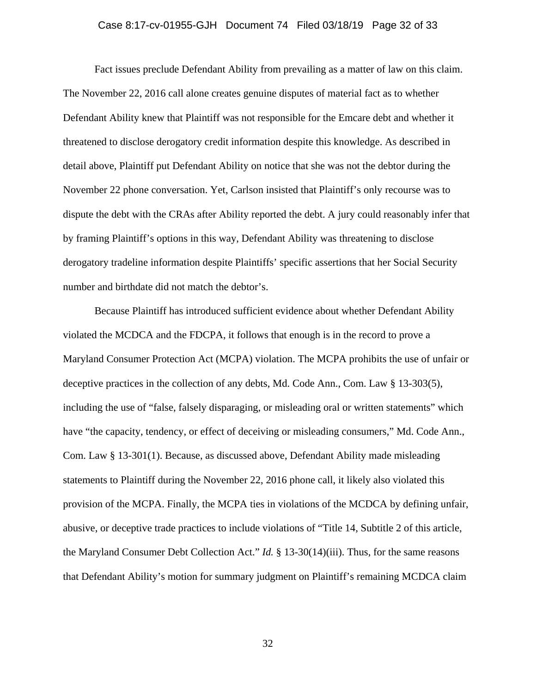### Case 8:17-cv-01955-GJH Document 74 Filed 03/18/19 Page 32 of 33

Fact issues preclude Defendant Ability from prevailing as a matter of law on this claim. The November 22, 2016 call alone creates genuine disputes of material fact as to whether Defendant Ability knew that Plaintiff was not responsible for the Emcare debt and whether it threatened to disclose derogatory credit information despite this knowledge. As described in detail above, Plaintiff put Defendant Ability on notice that she was not the debtor during the November 22 phone conversation. Yet, Carlson insisted that Plaintiff's only recourse was to dispute the debt with the CRAs after Ability reported the debt. A jury could reasonably infer that by framing Plaintiff's options in this way, Defendant Ability was threatening to disclose derogatory tradeline information despite Plaintiffs' specific assertions that her Social Security number and birthdate did not match the debtor's.

Because Plaintiff has introduced sufficient evidence about whether Defendant Ability violated the MCDCA and the FDCPA, it follows that enough is in the record to prove a Maryland Consumer Protection Act (MCPA) violation. The MCPA prohibits the use of unfair or deceptive practices in the collection of any debts, Md. Code Ann., Com. Law § 13-303(5), including the use of "false, falsely disparaging, or misleading oral or written statements" which have "the capacity, tendency, or effect of deceiving or misleading consumers," Md. Code Ann., Com. Law § 13-301(1). Because, as discussed above, Defendant Ability made misleading statements to Plaintiff during the November 22, 2016 phone call, it likely also violated this provision of the MCPA. Finally, the MCPA ties in violations of the MCDCA by defining unfair, abusive, or deceptive trade practices to include violations of "Title 14, Subtitle 2 of this article, the Maryland Consumer Debt Collection Act." *Id.* § 13-30(14)(iii). Thus, for the same reasons that Defendant Ability's motion for summary judgment on Plaintiff's remaining MCDCA claim